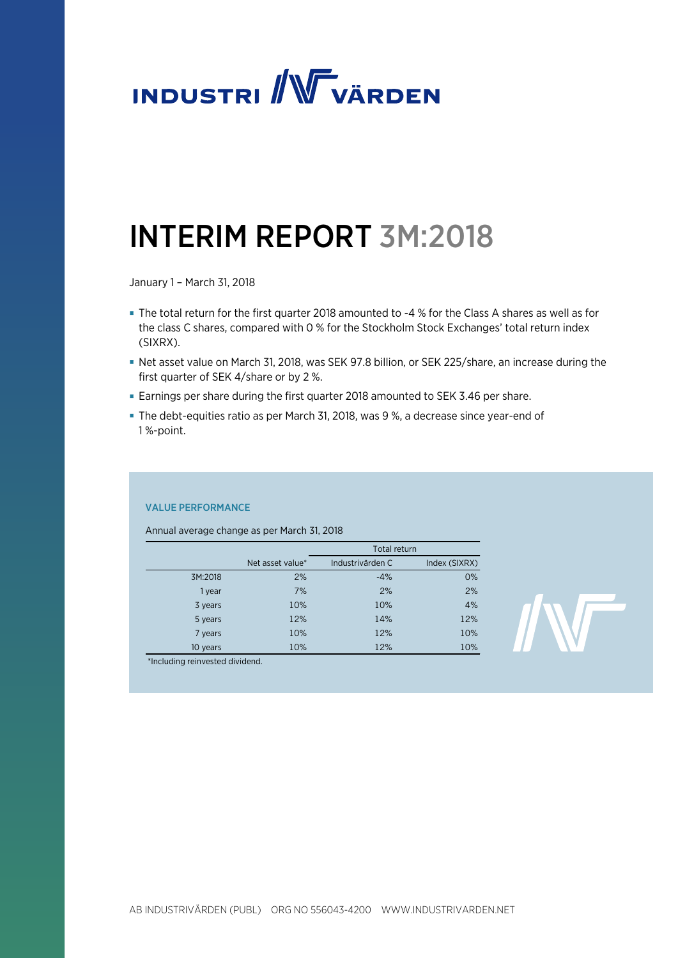

# INTERIM REPORT 3M:2018

January 1 – March 31, 2018

- The total return for the first quarter 2018 amounted to -4 % for the Class A shares as well as for the class C shares, compared with 0 % for the Stockholm Stock Exchanges' total return index (SIXRX).
- Net asset value on March 31, 2018, was SEK 97.8 billion, or SEK 225/share, an increase during the first quarter of SEK 4/share or by 2 %.
- Earnings per share during the first quarter 2018 amounted to SEK 3.46 per share.
- The debt-equities ratio as per March 31, 2018, was 9 %, a decrease since year-end of 1 %-point.

# VALUE PERFORMANCE

Annual average change as per March 31, 2018

|          |                  | Total return     |               |
|----------|------------------|------------------|---------------|
|          | Net asset value* | Industrivärden C | Index (SIXRX) |
| 3M:2018  | 2%               | $-4%$            | 0%            |
| 1 year   | 7%               | 2%               | 2%            |
| 3 years  | 10%              | 10%              | 4%            |
| 5 years  | 12%              | 14%              | 12%           |
| 7 years  | 10%              | 12%              | 10%           |
| 10 years | 10%              | 12%              | 10%           |



\*Including reinvested dividend.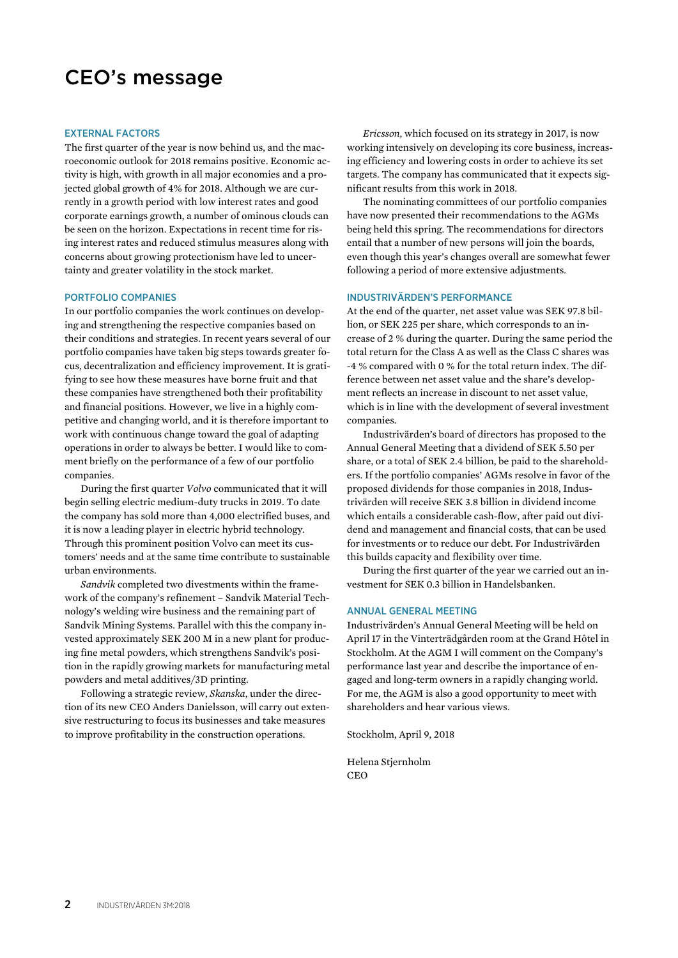# CEO's message

#### EXTERNAL FACTORS

The first quarter of the year is now behind us, and the macroeconomic outlook for 2018 remains positive. Economic activity is high, with growth in all major economies and a projected global growth of 4% for 2018. Although we are currently in a growth period with low interest rates and good corporate earnings growth, a number of ominous clouds can be seen on the horizon. Expectations in recent time for rising interest rates and reduced stimulus measures along with concerns about growing protectionism have led to uncertainty and greater volatility in the stock market.

#### PORTFOLIO COMPANIES

In our portfolio companies the work continues on developing and strengthening the respective companies based on their conditions and strategies. In recent years several of our portfolio companies have taken big steps towards greater focus, decentralization and efficiency improvement. It is gratifying to see how these measures have borne fruit and that these companies have strengthened both their profitability and financial positions. However, we live in a highly competitive and changing world, and it is therefore important to work with continuous change toward the goal of adapting operations in order to always be better. I would like to comment briefly on the performance of a few of our portfolio companies.

During the first quarter *Volvo* communicated that it will begin selling electric medium-duty trucks in 2019. To date the company has sold more than 4,000 electrified buses, and it is now a leading player in electric hybrid technology. Through this prominent position Volvo can meet its customers' needs and at the same time contribute to sustainable urban environments.

*Sandvik* completed two divestments within the framework of the company's refinement – Sandvik Material Technology's welding wire business and the remaining part of Sandvik Mining Systems. Parallel with this the company invested approximately SEK 200 M in a new plant for producing fine metal powders, which strengthens Sandvik's position in the rapidly growing markets for manufacturing metal powders and metal additives/3D printing.

Following a strategic review, *Skanska*, under the direction of its new CEO Anders Danielsson, will carry out extensive restructuring to focus its businesses and take measures to improve profitability in the construction operations.

*Ericsson*, which focused on its strategy in 2017, is now working intensively on developing its core business, increasing efficiency and lowering costs in order to achieve its set targets. The company has communicated that it expects significant results from this work in 2018.

The nominating committees of our portfolio companies have now presented their recommendations to the AGMs being held this spring. The recommendations for directors entail that a number of new persons will join the boards, even though this year's changes overall are somewhat fewer following a period of more extensive adjustments.

#### INDUSTRIVÄRDEN'S PERFORMANCE

At the end of the quarter, net asset value was SEK 97.8 billion, or SEK 225 per share, which corresponds to an increase of 2 % during the quarter. During the same period the total return for the Class A as well as the Class C shares was -4 % compared with 0 % for the total return index. The difference between net asset value and the share's development reflects an increase in discount to net asset value, which is in line with the development of several investment companies.

Industrivärden's board of directors has proposed to the Annual General Meeting that a dividend of SEK 5.50 per share, or a total of SEK 2.4 billion, be paid to the shareholders. If the portfolio companies' AGMs resolve in favor of the proposed dividends for those companies in 2018, Industrivärden will receive SEK 3.8 billion in dividend income which entails a considerable cash-flow, after paid out dividend and management and financial costs, that can be used for investments or to reduce our debt. For Industrivärden this builds capacity and flexibility over time.

During the first quarter of the year we carried out an investment for SEK 0.3 billion in Handelsbanken.

#### ANNUAL GENERAL MEETING

Industrivärden's Annual General Meeting will be held on April 17 in the Vinterträdgården room at the Grand Hôtel in Stockholm. At the AGM I will comment on the Company's performance last year and describe the importance of engaged and long-term owners in a rapidly changing world. For me, the AGM is also a good opportunity to meet with shareholders and hear various views.

Stockholm, April 9, 2018

Helena Stjernholm **CEO**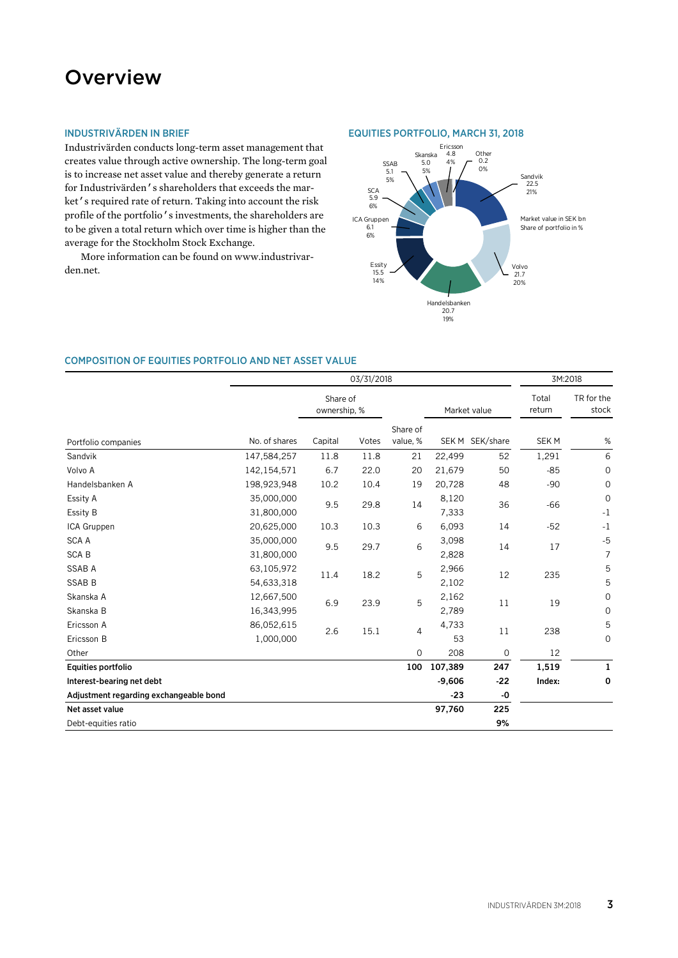# **Overview**

# INDUSTRIVÄRDEN IN BRIEF

Industrivärden conducts long-term asset management that creates value through active ownership. The long-term goal is to increase net asset value and thereby generate a return for Industrivärden's shareholders that exceeds the market's required rate of return. Taking into account the risk profile of the portfolio's investments, the shareholders are to be given a total return which over time is higher than the average for the Stockholm Stock Exchange.

More information can be found on www.industrivarden.net.

#### EQUITIES PORTFOLIO, MARCH 31, 2018



### COMPOSITION OF EQUITIES PORTFOLIO AND NET ASSET VALUE

|                                        | 03/31/2018               |                          |       |                      |                | 3M:2018         |                  |                            |
|----------------------------------------|--------------------------|--------------------------|-------|----------------------|----------------|-----------------|------------------|----------------------------|
|                                        |                          | Share of<br>ownership, % |       |                      |                | Market value    | Total<br>return  | TR for the<br>stock        |
| Portfolio companies                    | No. of shares            | Capital                  | Votes | Share of<br>value, % |                | SEK M SEK/share | SEK <sub>M</sub> | $\%$                       |
| Sandvik                                | 147,584,257              | 11.8                     | 11.8  | 21                   | 22,499         | 52              | 1,291            | 6                          |
| Volvo A                                | 142,154,571              | 6.7                      | 22.0  | 20                   | 21,679         | 50              | $-85$            | $\mathbf 0$                |
| Handelsbanken A                        | 198,923,948              | 10.2                     | 10.4  | 19                   | 20,728         | 48              | $-90$            | 0                          |
| Essity A<br>Essity B                   | 35,000,000<br>31,800,000 | 9.5                      | 29.8  | 14                   | 8,120<br>7,333 | 36              | $-66$            | $\mathbf 0$<br>$-1$        |
| ICA Gruppen                            | 20,625,000               | 10.3                     | 10.3  | 6                    | 6,093          | 14              | $-52$            | $-1$                       |
| <b>SCA A</b><br><b>SCAB</b>            | 35,000,000<br>31,800,000 | 9.5                      | 29.7  | 6                    | 3,098<br>2,828 | 14              | 17               | $-5$<br>7                  |
| <b>SSAB A</b><br><b>SSAB B</b>         | 63,105,972<br>54,633,318 | 11.4                     | 18.2  | 5                    | 2,966<br>2,102 | 12              | 235              | 5<br>5                     |
| Skanska A<br>Skanska B                 | 12,667,500<br>16,343,995 | 6.9                      | 23.9  | 5                    | 2,162<br>2,789 | 11              | 19               | $\mathbf 0$<br>$\mathbf 0$ |
| Ericsson A<br>Ericsson B               | 86,052,615<br>1,000,000  | 2.6                      | 15.1  | $\overline{4}$       | 4,733<br>53    | 11              | 238              | 5<br>0                     |
| Other                                  |                          |                          |       | $\overline{0}$       | 208            | $\mathbf{O}$    | 12               |                            |
| Equities portfolio                     |                          |                          |       | 100                  | 107,389        | 247             | 1,519            | 1                          |
| Interest-bearing net debt              |                          |                          |       |                      | $-9,606$       | $-22$           | Index:           | 0                          |
| Adjustment regarding exchangeable bond |                          |                          |       |                      | $-23$          | $-0$            |                  |                            |
| Net asset value                        |                          |                          |       |                      | 97,760         | 225             |                  |                            |
| Debt-equities ratio                    |                          |                          |       |                      |                | 9%              |                  |                            |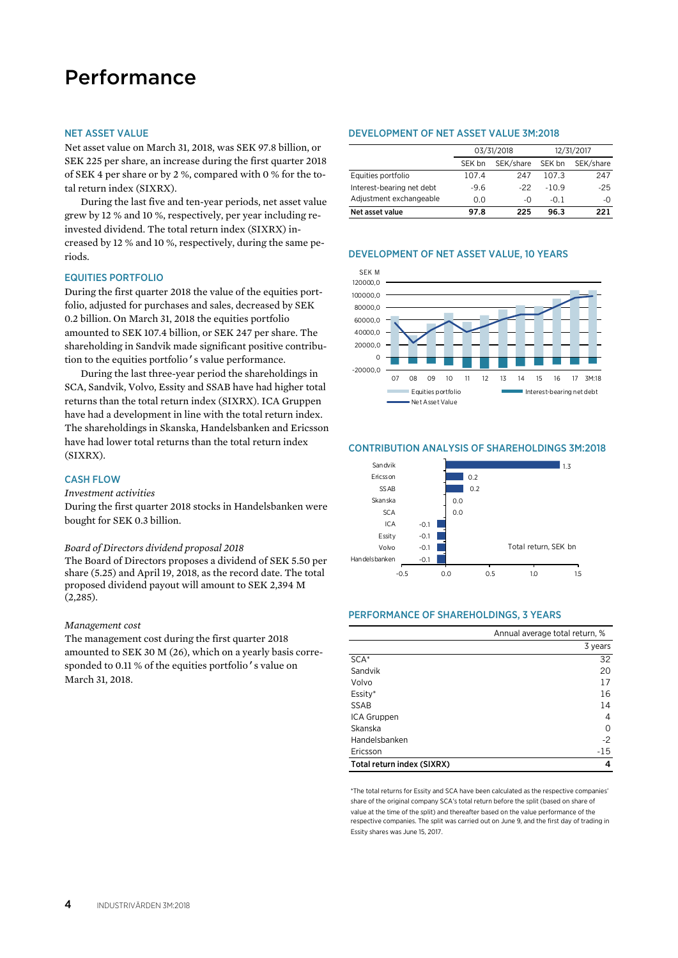# Performance

#### NET ASSET VALUE

Net asset value on March 31, 2018, was SEK 97.8 billion, or SEK 225 per share, an increase during the first quarter 2018 of SEK 4 per share or by 2 %, compared with 0 % for the total return index (SIXRX).

During the last five and ten-year periods, net asset value grew by 12 % and 10 %, respectively, per year including reinvested dividend. The total return index (SIXRX) increased by 12 % and 10 %, respectively, during the same periods.

#### EQUITIES PORTFOLIO

During the first quarter 2018 the value of the equities portfolio, adjusted for purchases and sales, decreased by SEK 0.2 billion. On March 31, 2018 the equities portfolio amounted to SEK 107.4 billion, or SEK 247 per share. The shareholding in Sandvik made significant positive contribution to the equities portfolio's value performance.

During the last three-year period the shareholdings in SCA, Sandvik, Volvo, Essity and SSAB have had higher total returns than the total return index (SIXRX). ICA Gruppen have had a development in line with the total return index. The shareholdings in Skanska, Handelsbanken and Ericsson have had lower total returns than the total return index (SIXRX).

### CASH FLOW

#### *Investment activities*

During the first quarter 2018 stocks in Handelsbanken were bought for SEK 0.3 billion.

#### *Board of Directors dividend proposal 2018*

The Board of Directors proposes a dividend of SEK 5.50 per share (5.25) and April 19, 2018, as the record date. The total proposed dividend payout will amount to SEK 2,394 M (2,285).

#### *Management cost*

The management cost during the first quarter 2018 amounted to SEK 30 M (26), which on a yearly basis corresponded to 0.11 % of the equities portfolio's value on March 31, 2018.

#### DEVELOPMENT OF NET ASSET VALUE 3M:2018

|                           | 03/31/2018 |           | 12/31/2017 |           |  |
|---------------------------|------------|-----------|------------|-----------|--|
|                           | SEK bn     | SEK/share | SEK bn     | SEK/share |  |
| Equities portfolio        | 107.4      | 247       | 107.3      | 247       |  |
| Interest-bearing net debt | $-9.6$     | -22       | $-109$     | $-25$     |  |
| Adjustment exchangeable   | 0.0        | -ቦ        | $-0.1$     | -0        |  |
| Net asset value           | 97.8       | 225       | 96.3       | 221       |  |

#### DEVELOPMENT OF NET ASSET VALUE, 10 YEARS



#### CONTRIBUTION ANALYSIS OF SHAREHOLDINGS 3M:2018



#### PERFORMANCE OF SHAREHOLDINGS, 3 YEARS

|                            | Annual average total return, % |
|----------------------------|--------------------------------|
|                            | 3 years                        |
| SCA <sup>*</sup>           | 32                             |
| Sandvik                    | 20                             |
| Volvo                      | 17                             |
| Essity*                    | 16                             |
| <b>SSAB</b>                | 14                             |
| ICA Gruppen                | 4                              |
| Skanska                    | 0                              |
| Handelsbanken              | $-2$                           |
| Ericsson                   | $-15$                          |
| Total return index (SIXRX) | 4                              |

\*The total returns for Essity and SCA have been calculated as the respective companies' share of the original company SCA's total return before the split (based on share of value at the time of the split) and thereafter based on the value performance of the respective companies. The split was carried out on June 9, and the first day of trading in Essity shares was June 15, 2017.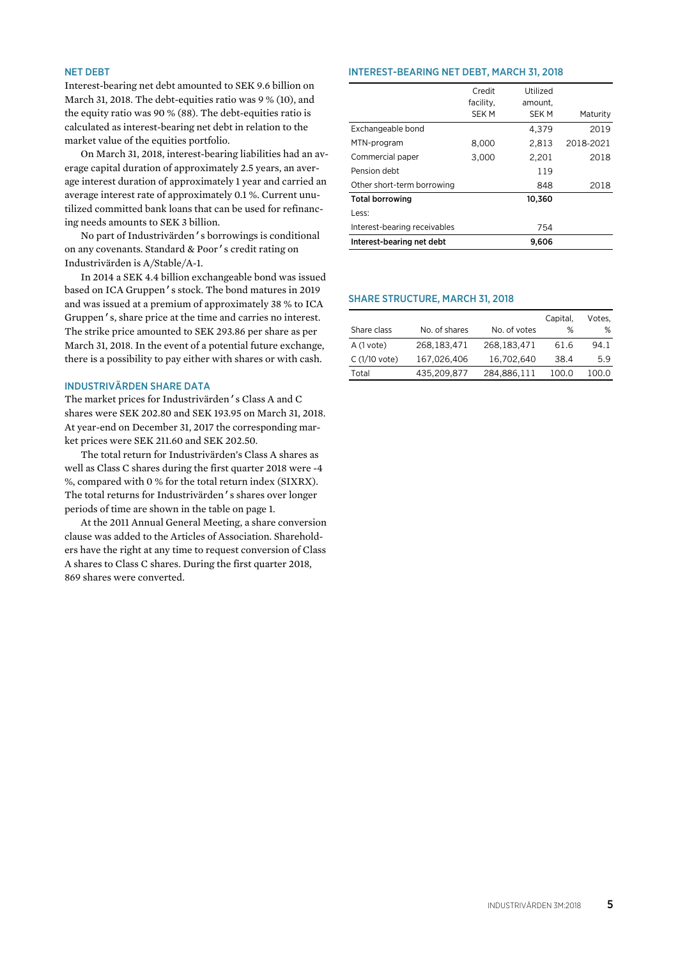### NET DEBT

Interest-bearing net debt amounted to SEK 9.6 billion on March 31, 2018. The debt-equities ratio was 9 % (10), and the equity ratio was 90 % (88). The debt-equities ratio is calculated as interest-bearing net debt in relation to the market value of the equities portfolio.

On March 31, 2018, interest-bearing liabilities had an average capital duration of approximately 2.5 years, an average interest duration of approximately 1 year and carried an average interest rate of approximately 0.1 %. Current unutilized committed bank loans that can be used for refinancing needs amounts to SEK 3 billion.

No part of Industrivärden's borrowings is conditional on any covenants. Standard & Poor's credit rating on Industrivärden is A/Stable/A-1.

In 2014 a SEK 4.4 billion exchangeable bond was issued based on ICA Gruppen's stock. The bond matures in 2019 and was issued at a premium of approximately 38 % to ICA Gruppen's, share price at the time and carries no interest. The strike price amounted to SEK 293.86 per share as per March 31, 2018. In the event of a potential future exchange, there is a possibility to pay either with shares or with cash.

#### INDUSTRIVÄRDEN SHARE DATA

The market prices for Industrivärden's Class A and C shares were SEK 202.80 and SEK 193.95 on March 31, 2018. At year-end on December 31, 2017 the corresponding market prices were SEK 211.60 and SEK 202.50.

The total return for Industrivärden's Class A shares as well as Class C shares during the first quarter 2018 were -4 %, compared with 0 % for the total return index (SIXRX). The total returns for Industrivärden's shares over longer periods of time are shown in the table on page 1.

At the 2011 Annual General Meeting, a share conversion clause was added to the Articles of Association. Shareholders have the right at any time to request conversion of Class A shares to Class C shares. During the first quarter 2018, 869 shares were converted.

#### INTEREST-BEARING NET DEBT, MARCH 31, 2018

|                              | Credit<br>facility, | Utilized<br>amount. |           |
|------------------------------|---------------------|---------------------|-----------|
|                              | <b>SEKM</b>         | <b>SEK M</b>        | Maturity  |
| Exchangeable bond            |                     | 4.379               | 2019      |
| MTN-program                  | 8,000               | 2,813               | 2018-2021 |
| Commercial paper             | 3,000               | 2.201               | 2018      |
| Pension debt                 |                     | 119                 |           |
| Other short-term borrowing   |                     | 848                 | 2018      |
| <b>Total borrowing</b>       |                     | 10,360              |           |
| Less:                        |                     |                     |           |
| Interest-bearing receivables |                     | 754                 |           |
| Interest-bearing net debt    |                     | 9.606               |           |

#### SHARE STRUCTURE, MARCH 31, 2018

|               |               |              | Capital, | Votes. |
|---------------|---------------|--------------|----------|--------|
| Share class   | No. of shares | No. of votes | %        | ℅      |
| A (1 vote)    | 268,183,471   | 268,183,471  | 61.6     | 94.1   |
| C (1/10 vote) | 167,026,406   | 16.702.640   | 38.4     | 5.9    |
| Total         | 435,209,877   | 284,886,111  | 100.0    | 100.O  |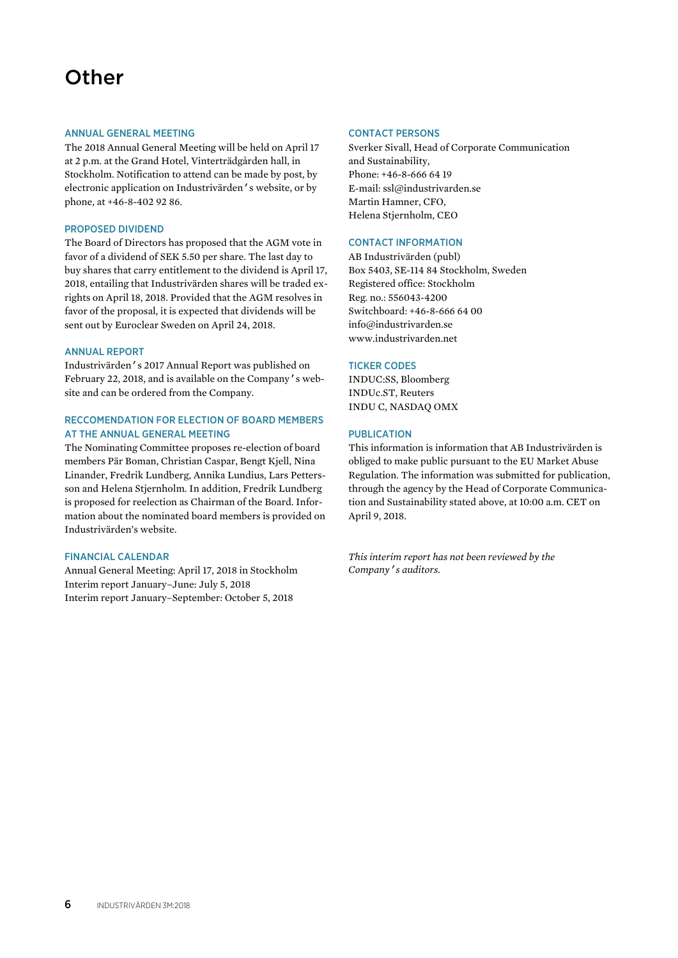# **Other**

#### ANNUAL GENERAL MEETING

The 2018 Annual General Meeting will be held on April 17 at 2 p.m. at the Grand Hotel, Vinterträdgården hall, in Stockholm. Notification to attend can be made by post, by electronic application on Industrivärden's website, or by phone, at +46-8-402 92 86.

#### PROPOSED DIVIDEND

The Board of Directors has proposed that the AGM vote in favor of a dividend of SEK 5.50 per share. The last day to buy shares that carry entitlement to the dividend is April 17, 2018, entailing that Industrivärden shares will be traded exrights on April 18, 2018. Provided that the AGM resolves in favor of the proposal, it is expected that dividends will be sent out by Euroclear Sweden on April 24, 2018.

#### ANNUAL REPORT

Industrivärden's 2017 Annual Report was published on February 22, 2018, and is available on the Company's website and can be ordered from the Company.

# RECCOMENDATION FOR ELECTION OF BOARD MEMBERS AT THE ANNUAL GENERAL MEETING

The Nominating Committee proposes re-election of board members Pär Boman, Christian Caspar, Bengt Kjell, Nina Linander, Fredrik Lundberg, Annika Lundius, Lars Pettersson and Helena Stjernholm. In addition, Fredrik Lundberg is proposed for reelection as Chairman of the Board. Information about the nominated board members is provided on Industrivärden's website.

### FINANCIAL CALENDAR

Annual General Meeting: April 17, 2018 in Stockholm Interim report January–June: July 5, 2018 Interim report January–September: October 5, 2018

#### CONTACT PERSONS

Sverker Sivall, Head of Corporate Communication and Sustainability, Phone: +46-8-666 64 19 E-mail: ssl@industrivarden.se Martin Hamner, CFO, Helena Stjernholm, CEO

### CONTACT INFORMATION

AB Industrivärden (publ) Box 5403, SE-114 84 Stockholm, Sweden Registered office: Stockholm Reg. no.: 556043-4200 Switchboard: +46-8-666 64 00 info@industrivarden.se www.industrivarden.net

#### TICKER CODES

INDUC:SS, Bloomberg INDUc.ST, Reuters INDU C, NASDAQ OMX

#### PUBLICATION

This information is information that AB Industrivärden is obliged to make public pursuant to the EU Market Abuse Regulation. The information was submitted for publication, through the agency by the Head of Corporate Communication and Sustainability stated above, at 10:00 a.m. CET on April 9, 2018.

*This interim report has not been reviewed by the Company's auditors.*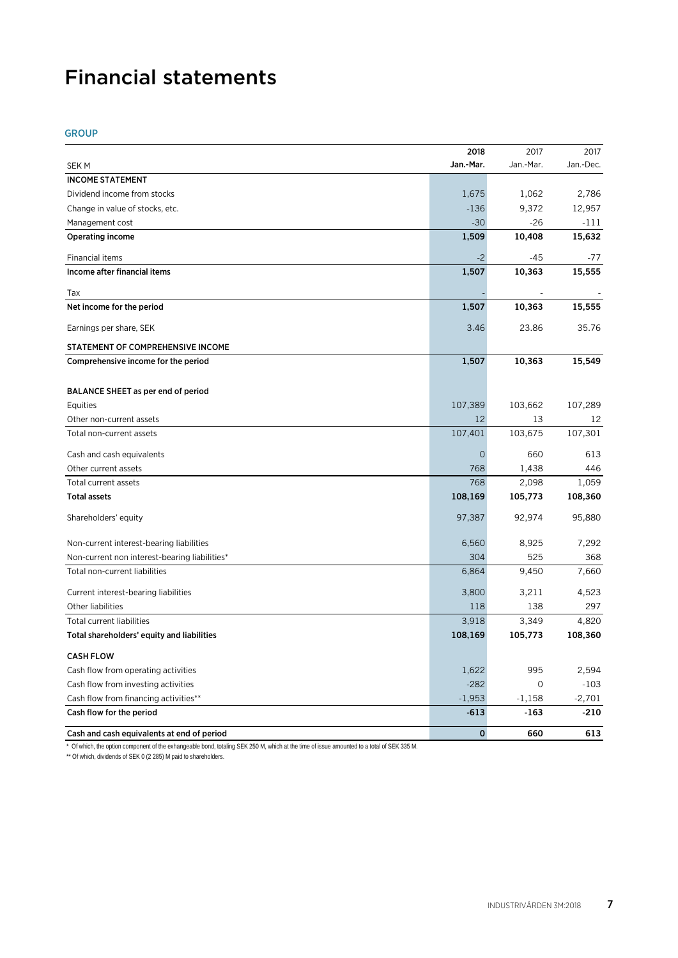# Financial statements

# GROUP

|                                               | 2018           | 2017      | 2017      |
|-----------------------------------------------|----------------|-----------|-----------|
| <b>SEK M</b>                                  | Jan.-Mar.      | Jan.-Mar. | Jan.-Dec. |
| <b>INCOME STATEMENT</b>                       |                |           |           |
| Dividend income from stocks                   | 1,675          | 1,062     | 2,786     |
| Change in value of stocks, etc.               | $-136$         | 9,372     | 12,957    |
| Management cost                               | $-30$          | $-26$     | $-111$    |
| <b>Operating income</b>                       | 1,509          | 10,408    | 15,632    |
| Financial items                               | $-2$           | -45       | -77       |
| Income after financial items                  | 1,507          | 10,363    | 15,555    |
| Tax                                           |                |           |           |
| Net income for the period                     | 1,507          | 10,363    | 15,555    |
| Earnings per share, SEK                       | 3.46           | 23.86     | 35.76     |
| STATEMENT OF COMPREHENSIVE INCOME             |                |           |           |
| Comprehensive income for the period           | 1,507          | 10,363    | 15,549    |
| BALANCE SHEET as per end of period            |                |           |           |
| Equities                                      | 107,389        | 103,662   | 107,289   |
| Other non-current assets                      | 12             | 13        | 12        |
| Total non-current assets                      | 107,401        | 103,675   | 107,301   |
| Cash and cash equivalents                     | $\overline{0}$ | 660       | 613       |
| Other current assets                          | 768            | 1,438     | 446       |
| Total current assets                          | 768            | 2,098     | 1,059     |
| <b>Total assets</b>                           | 108,169        | 105,773   | 108,360   |
| Shareholders' equity                          | 97,387         | 92,974    | 95,880    |
| Non-current interest-bearing liabilities      | 6,560          | 8,925     | 7,292     |
| Non-current non interest-bearing liabilities* | 304            | 525       | 368       |
| Total non-current liabilities                 | 6,864          | 9,450     | 7,660     |
| Current interest-bearing liabilities          | 3,800          | 3,211     | 4,523     |
| Other liabilities                             | 118            | 138       | 297       |
| Total current liabilities                     | 3,918          | 3,349     | 4,820     |
| Total shareholders' equity and liabilities    | 108,169        | 105,773   | 108,360   |
| <b>CASH FLOW</b>                              |                |           |           |
| Cash flow from operating activities           | 1,622          | 995       | 2,594     |
| Cash flow from investing activities           | $-282$         | 0         | $-103$    |
| Cash flow from financing activities**         | $-1,953$       | $-1,158$  | $-2,701$  |
| Cash flow for the period                      | $-613$         | $-163$    | $-210$    |
| Cash and cash equivalents at end of period    | $\mathbf{0}$   | 660       | 613       |

\* Of which, the option component of the exhangeable bond, totaling SEK 250 M, which at the time of issue amounted to a total of SEK 335 M.

\*\* Of which, dividends of SEK 0 (2 285) M paid to shareholders.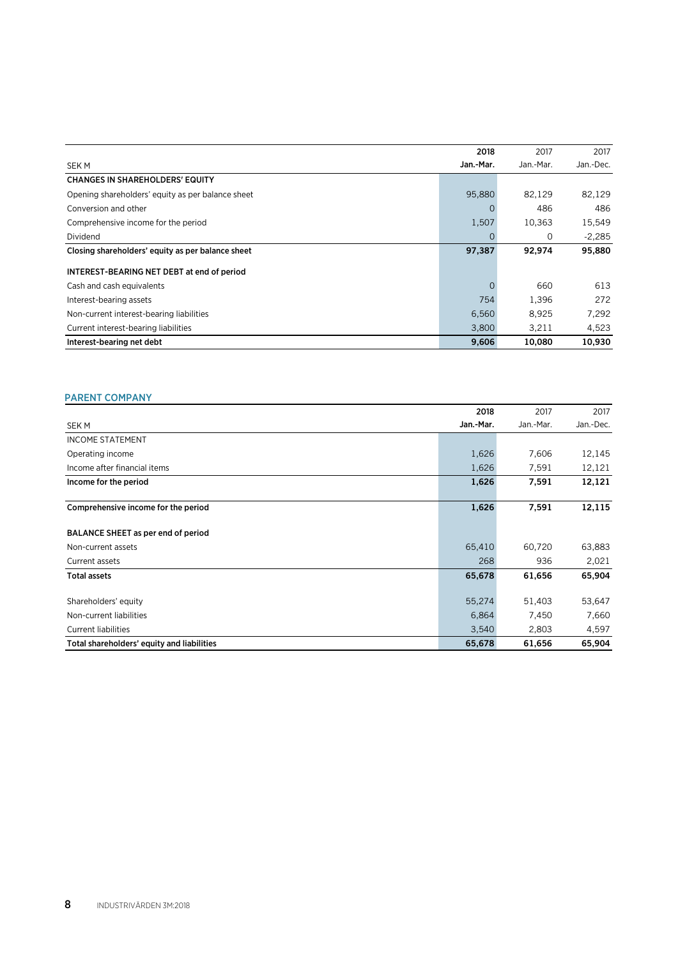|                                                   | 2018           | 2017      | 2017      |
|---------------------------------------------------|----------------|-----------|-----------|
| <b>SEK M</b>                                      | Jan.-Mar.      | Jan.-Mar. | Jan.-Dec. |
| <b>CHANGES IN SHAREHOLDERS' EQUITY</b>            |                |           |           |
| Opening shareholders' equity as per balance sheet | 95,880         | 82,129    | 82,129    |
| Conversion and other                              | 0              | 486       | 486       |
| Comprehensive income for the period               | 1,507          | 10,363    | 15,549    |
| Dividend                                          | 0              | 0         | $-2,285$  |
| Closing shareholders' equity as per balance sheet | 97,387         | 92.974    | 95,880    |
| INTEREST-BEARING NET DEBT at end of period        |                |           |           |
| Cash and cash equivalents                         | $\overline{0}$ | 660       | 613       |
| Interest-bearing assets                           | 754            | 1.396     | 272       |
| Non-current interest-bearing liabilities          | 6,560          | 8,925     | 7,292     |
| Current interest-bearing liabilities              | 3,800          | 3,211     | 4,523     |
| Interest-bearing net debt                         | 9,606          | 10,080    | 10,930    |

# PARENT COMPANY

|                                            | 2018      | 2017      | 2017      |
|--------------------------------------------|-----------|-----------|-----------|
| <b>SEKM</b>                                | Jan.-Mar. | Jan.-Mar. | Jan.-Dec. |
| <b>INCOME STATEMENT</b>                    |           |           |           |
| Operating income                           | 1,626     | 7,606     | 12,145    |
| Income after financial items               | 1,626     | 7,591     | 12,121    |
| Income for the period                      | 1,626     | 7,591     | 12,121    |
| Comprehensive income for the period        | 1,626     | 7,591     | 12,115    |
| BALANCE SHEET as per end of period         |           |           |           |
| Non-current assets                         | 65,410    | 60,720    | 63,883    |
| Current assets                             | 268       | 936       | 2,021     |
| <b>Total assets</b>                        | 65,678    | 61,656    | 65,904    |
| Shareholders' equity                       | 55,274    | 51,403    | 53,647    |
| Non-current liabilities                    | 6,864     | 7,450     | 7,660     |
| <b>Current liabilities</b>                 | 3,540     | 2,803     | 4,597     |
| Total shareholders' equity and liabilities | 65,678    | 61,656    | 65,904    |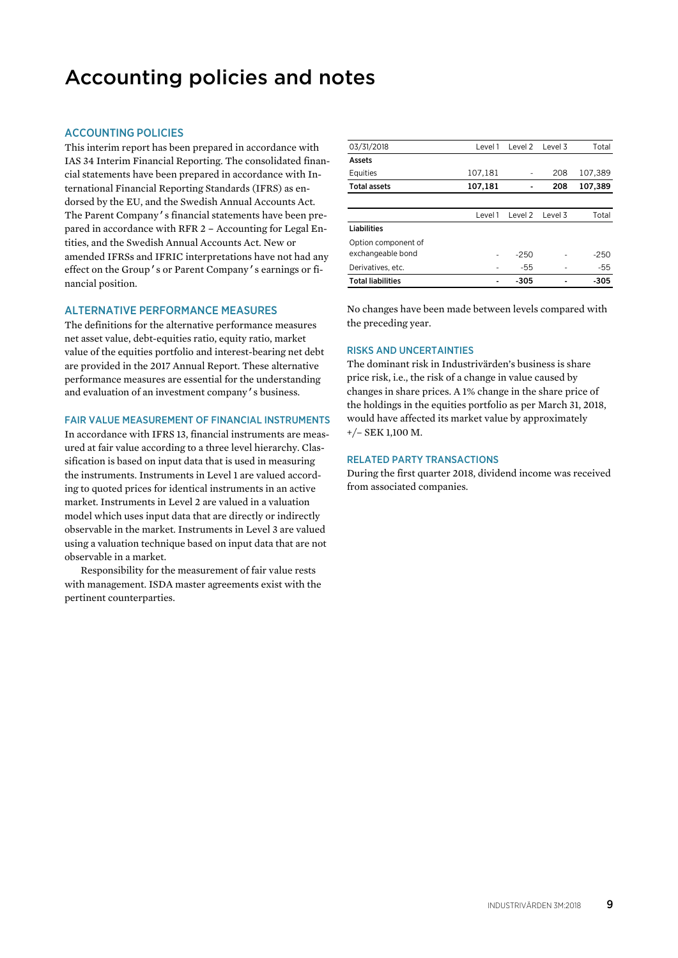# Accounting policies and notes

# ACCOUNTING POLICIES

This interim report has been prepared in accordance with IAS 34 Interim Financial Reporting. The consolidated financial statements have been prepared in accordance with International Financial Reporting Standards (IFRS) as endorsed by the EU, and the Swedish Annual Accounts Act. The Parent Company's financial statements have been prepared in accordance with RFR 2 – Accounting for Legal Entities, and the Swedish Annual Accounts Act. New or amended IFRSs and IFRIC interpretations have not had any effect on the Group's or Parent Company's earnings or financial position.

#### ALTERNATIVE PERFORMANCE MEASURES

The definitions for the alternative performance measures net asset value, debt-equities ratio, equity ratio, market value of the equities portfolio and interest-bearing net debt are provided in the 2017 Annual Report. These alternative performance measures are essential for the understanding and evaluation of an investment company's business.

# FAIR VALUE MEASUREMENT OF FINANCIAL INSTRUMENTS

In accordance with IFRS 13, financial instruments are measured at fair value according to a three level hierarchy. Classification is based on input data that is used in measuring the instruments. Instruments in Level 1 are valued according to quoted prices for identical instruments in an active market. Instruments in Level 2 are valued in a valuation model which uses input data that are directly or indirectly observable in the market. Instruments in Level 3 are valued using a valuation technique based on input data that are not observable in a market.

Responsibility for the measurement of fair value rests with management. ISDA master agreements exist with the pertinent counterparties.

| 03/31/2018               | Level 1 | Level 2 | Level 3 | Total   |
|--------------------------|---------|---------|---------|---------|
| Assets                   |         |         |         |         |
| Equities                 | 107,181 |         | 208     | 107,389 |
| <b>Total assets</b>      | 107,181 |         | 208     | 107,389 |
|                          |         |         |         |         |
|                          | Level 1 | Level 2 | Level 3 | Total   |
| Liabilities              |         |         |         |         |
| Option component of      |         |         |         |         |
| exchangeable bond        | ٠       | $-250$  |         | $-250$  |
| Derivatives, etc.        | ۰       | $-55$   |         | $-55$   |
| <b>Total liabilities</b> |         | $-305$  |         | $-305$  |

No changes have been made between levels compared with the preceding year.

#### RISKS AND UNCERTAINTIES

The dominant risk in Industrivärden's business is share price risk, i.e., the risk of a change in value caused by changes in share prices. A 1% change in the share price of the holdings in the equities portfolio as per March 31, 2018, would have affected its market value by approximately +/– SEK 1,100 M.

#### RELATED PARTY TRANSACTIONS

During the first quarter 2018, dividend income was received from associated companies.